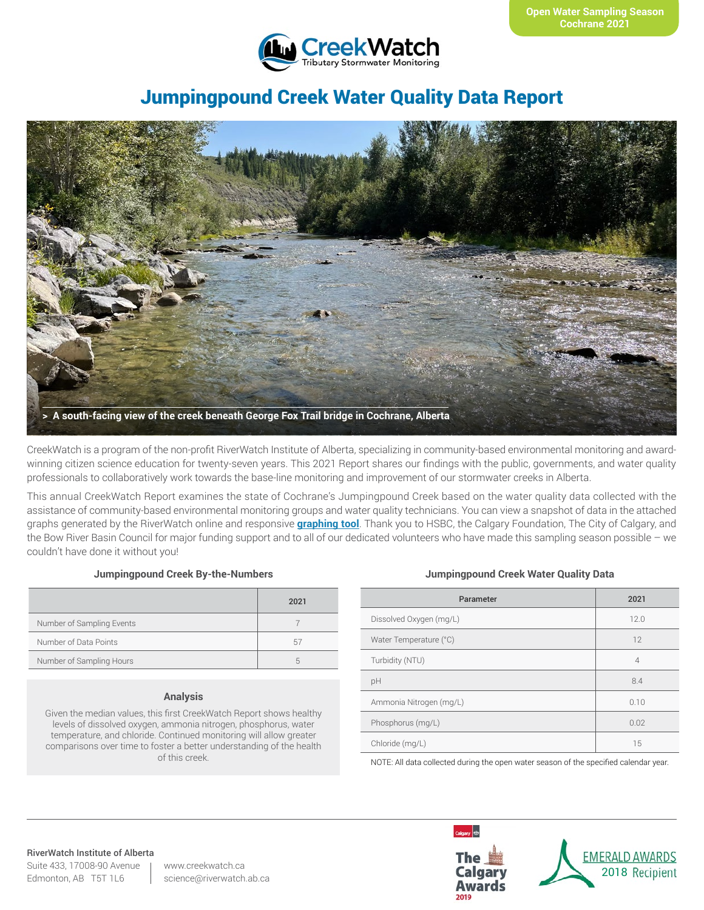

# Jumpingpound Creek Water Quality Data Report



CreekWatch is a program of the non-profit RiverWatch Institute of Alberta, specializing in community-based environmental monitoring and awardwinning citizen science education for twenty-seven years. This 2021 Report shares our findings with the public, governments, and water quality professionals to collaboratively work towards the base-line monitoring and improvement of our stormwater creeks in Alberta.

This annual CreekWatch Report examines the state of Cochrane's Jumpingpound Creek based on the water quality data collected with the assistance of community-based environmental monitoring groups and water quality technicians. You can view a snapshot of data in the attached graphs generated by the RiverWatch online and responsive **[graphing tool](http://www.riverwatch.ab.ca/index.php/science/data)**. Thank you to HSBC, the Calgary Foundation, The City of Calgary, and the Bow River Basin Council for major funding support and to all of our dedicated volunteers who have made this sampling season possible – we couldn't have done it without you!

### **Jumpingpound Creek By-the-Numbers**

|                           | 2021 |
|---------------------------|------|
| Number of Sampling Events |      |
| Number of Data Points     | 57   |
| Number of Sampling Hours  | h    |

### **Analysis**

Given the median values, this first CreekWatch Report shows healthy levels of dissolved oxygen, ammonia nitrogen, phosphorus, water temperature, and chloride. Continued monitoring will allow greater comparisons over time to foster a better understanding of the health of this creek.

### **Jumpingpound Creek Water Quality Data**

| Parameter               | 2021           |
|-------------------------|----------------|
| Dissolved Oxygen (mg/L) | 12.0           |
| Water Temperature (°C)  | 12             |
| Turbidity (NTU)         | $\overline{4}$ |
| pH                      | 8.4            |
| Ammonia Nitrogen (mg/L) | 0.10           |
| Phosphorus (mg/L)       | 0.02           |
| Chloride (mg/L)         | 15             |

NOTE: All data collected during the open water season of the specified calendar year.

#### RiverWatch Institute of Alberta

Suite 433, 17008-90 Avenue Edmonton, AB T5T 1L6

www.creekwatch.ca science@riverwatch.ab.ca